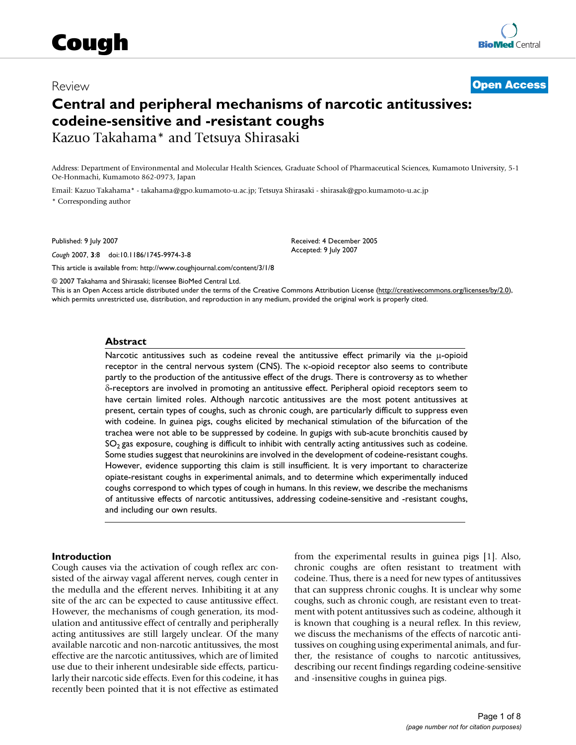# Review **[Open Access](http://www.biomedcentral.com/info/about/charter/)**

# **Central and peripheral mechanisms of narcotic antitussives: codeine-sensitive and -resistant coughs** Kazuo Takahama\* and Tetsuya Shirasaki

Address: Department of Environmental and Molecular Health Sciences, Graduate School of Pharmaceutical Sciences, Kumamoto University, 5-1 Oe-Honmachi, Kumamoto 862-0973, Japan

> Received: 4 December 2005 Accepted: 9 July 2007

Email: Kazuo Takahama\* - takahama@gpo.kumamoto-u.ac.jp; Tetsuya Shirasaki - shirasak@gpo.kumamoto-u.ac.jp \* Corresponding author

Published: 9 July 2007

*Cough* 2007, **3**:8 doi:10.1186/1745-9974-3-8

[This article is available from: http://www.coughjournal.com/content/3/1/8](http://www.coughjournal.com/content/3/1/8)

© 2007 Takahama and Shirasaki; licensee BioMed Central Ltd.

This is an Open Access article distributed under the terms of the Creative Commons Attribution License [\(http://creativecommons.org/licenses/by/2.0\)](http://creativecommons.org/licenses/by/2.0), which permits unrestricted use, distribution, and reproduction in any medium, provided the original work is properly cited.

#### **Abstract**

Narcotic antitussives such as codeine reveal the antitussive effect primarily via the  $\mu$ -opioid receptor in the central nervous system (CNS). The κ-opioid receptor also seems to contribute partly to the production of the antitussive effect of the drugs. There is controversy as to whether δ-receptors are involved in promoting an antitussive effect. Peripheral opioid receptors seem to have certain limited roles. Although narcotic antitussives are the most potent antitussives at present, certain types of coughs, such as chronic cough, are particularly difficult to suppress even with codeine. In guinea pigs, coughs elicited by mechanical stimulation of the bifurcation of the trachea were not able to be suppressed by codeine. In gupigs with sub-acute bronchitis caused by  $SO<sub>2</sub>$  gas exposure, coughing is difficult to inhibit with centrally acting antitussives such as codeine. Some studies suggest that neurokinins are involved in the development of codeine-resistant coughs. However, evidence supporting this claim is still insufficient. It is very important to characterize opiate-resistant coughs in experimental animals, and to determine which experimentally induced coughs correspond to which types of cough in humans. In this review, we describe the mechanisms of antitussive effects of narcotic antitussives, addressing codeine-sensitive and -resistant coughs, and including our own results.

### **Introduction**

Cough causes via the activation of cough reflex arc consisted of the airway vagal afferent nerves, cough center in the medulla and the efferent nerves. Inhibiting it at any site of the arc can be expected to cause antitussive effect. However, the mechanisms of cough generation, its modulation and antitussive effect of centrally and peripherally acting antitussives are still largely unclear. Of the many available narcotic and non-narcotic antitussives, the most effective are the narcotic antitussives, which are of limited use due to their inherent undesirable side effects, particularly their narcotic side effects. Even for this codeine, it has recently been pointed that it is not effective as estimated from the experimental results in guinea pigs [1]. Also, chronic coughs are often resistant to treatment with codeine. Thus, there is a need for new types of antitussives that can suppress chronic coughs. It is unclear why some coughs, such as chronic cough, are resistant even to treatment with potent antitussives such as codeine, although it is known that coughing is a neural reflex. In this review, we discuss the mechanisms of the effects of narcotic antitussives on coughing using experimental animals, and further, the resistance of coughs to narcotic antitussives, describing our recent findings regarding codeine-sensitive and -insensitive coughs in guinea pigs.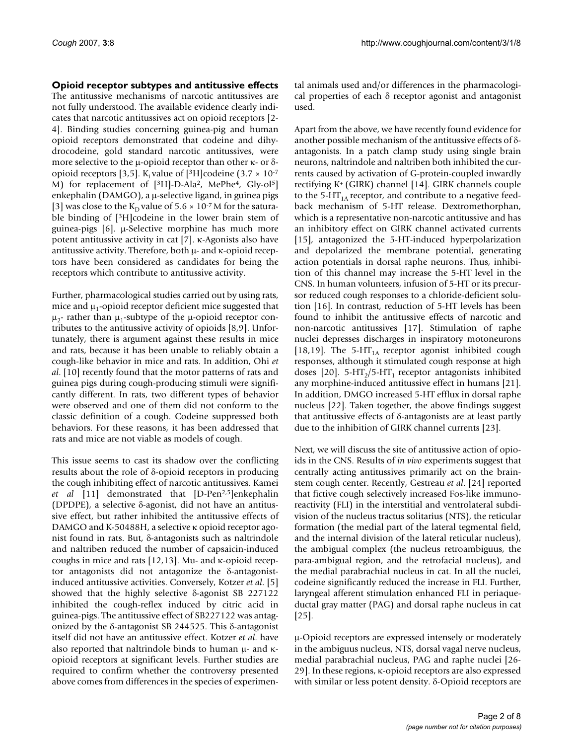# **Opioid receptor subtypes and antitussive effects**

The antitussive mechanisms of narcotic antitussives are not fully understood. The available evidence clearly indicates that narcotic antitussives act on opioid receptors [2- 4]. Binding studies concerning guinea-pig and human opioid receptors demonstrated that codeine and dihydrocodeine, gold standard narcotic antitussives, were more selective to the μ-opioid receptor than other κ- or  $δ$ opioid receptors [3,5]. K<sub>i</sub> value of [<sup>3</sup>H]codeine (3.7  $\times$  10<sup>-7</sup> M) for replacement of [<sup>3</sup>H]-D-Ala<sup>2</sup>, MePhe<sup>4</sup>, Gly-ol<sup>5</sup>] enkephalin (DAMGO), a µ-selective ligand, in guinea pigs [3] was close to the  $K_D$  value of 5.6  $\times$  10<sup>-7</sup> M for the saturable binding of [3H]codeine in the lower brain stem of guinea-pigs [[6](#page-5-0)]. µ-Selective morphine has much more potent antitussive activity in cat [7]. κ-Agonists also have antitussive activity. Therefore, both  $\mu$ - and  $\kappa$ -opioid receptors have been considered as candidates for being the receptors which contribute to antitussive activity.

Further, pharmacological studies carried out by using rats, mice and  $\mu_1$ -opioid receptor deficient mice suggested that  $\mu_2$ - rather than  $\mu_1$ -subtype of the  $\mu$ -opioid receptor contributes to the antitussive activity of opioids [8,9]. Unfortunately, there is argument against these results in mice and rats, because it has been unable to reliably obtain a cough-like behavior in mice and rats. In addition, Ohi *et al*. [10] recently found that the motor patterns of rats and guinea pigs during cough-producing stimuli were significantly different. In rats, two different types of behavior were observed and one of them did not conform to the classic definition of a cough. Codeine suppressed both behaviors. For these reasons, it has been addressed that rats and mice are not viable as models of cough.

This issue seems to cast its shadow over the conflicting results about the role of δ-opioid receptors in producing the cough inhibiting effect of narcotic antitussives. Kamei *et al* [11] demonstrated that [D-Pen2,5]enkephalin (DPDPE), a selective δ-agonist, did not have an antitussive effect, but rather inhibited the antitussive effects of DAMGO and K-50488H, a selective κ opioid receptor agonist found in rats. But, δ-antagonists such as naltrindole and naltriben reduced the number of capsaicin-induced coughs in mice and rats [12,13]. Mu- and κ-opioid receptor antagonists did not antagonize the δ-antagonistinduced antitussive activities. Conversely, Kotzer *et al*. [5] showed that the highly selective δ-agonist SB 227122 inhibited the cough-reflex induced by citric acid in guinea-pigs. The antitussive effect of SB227122 was antagonized by the δ-antagonist SB 244525. This δ-antagonist itself did not have an antitussive effect. Kotzer *et al*. have also reported that naltrindole binds to human µ- and κopioid receptors at significant levels. Further studies are required to confirm whether the controversy presented above comes from differences in the species of experimental animals used and/or differences in the pharmacological properties of each  $\delta$  receptor agonist and antagonist used.

Apart from the above, we have recently found evidence for another possible mechanism of the antitussive effects of δantagonists. In a patch clamp study using single brain neurons, naltrindole and naltriben both inhibited the currents caused by activation of G-protein-coupled inwardly rectifying K+ (GIRK) channel [14]. GIRK channels couple to the 5-HT<sub>1A</sub> receptor, and contribute to a negative feedback mechanism of 5-HT release. Dextromethorphan, which is a representative non-narcotic antitussive and has an inhibitory effect on GIRK channel activated currents [15], antagonized the 5-HT-induced hyperpolarization and depolarized the membrane potential, generating action potentials in dorsal raphe neurons. Thus, inhibition of this channel may increase the 5-HT level in the CNS. In human volunteers, infusion of 5-HT or its precursor reduced cough responses to a chloride-deficient solution [16]. In contrast, reduction of 5-HT levels has been found to inhibit the antitussive effects of narcotic and non-narcotic antitussives [17]. Stimulation of raphe nuclei depresses discharges in inspiratory motoneurons [18,19]. The 5-HT<sub>1A</sub> receptor agonist inhibited cough responses, although it stimulated cough response at high doses [20]. 5-HT<sub>2</sub>/5-HT<sub>1</sub> receptor antagonists inhibited any morphine-induced antitussive effect in humans [21]. In addition, DMGO increased 5-HT efflux in dorsal raphe nucleus [22]. Taken together, the above findings suggest that antitussive effects of δ-antagonists are at least partly due to the inhibition of GIRK channel currents [23].

Next, we will discuss the site of antitussive action of opioids in the CNS. Results of *in vivo* experiments suggest that centrally acting antitussives primarily act on the brainstem cough center. Recently, Gestreau *et al*. [24] reported that fictive cough selectively increased Fos-like immunoreactivity (FLI) in the interstitial and ventrolateral subdivision of the nucleus tractus solitarius (NTS), the reticular formation (the medial part of the lateral tegmental field, and the internal division of the lateral reticular nucleus), the ambigual complex (the nucleus retroambiguus, the para-ambigual region, and the retrofacial nucleus), and the medial parabrachial nucleus in cat. In all the nuclei, codeine significantly reduced the increase in FLI. Further, laryngeal afferent stimulation enhanced FLI in periaqueductal gray matter (PAG) and dorsal raphe nucleus in cat [25].

µ-Opioid receptors are expressed intensely or moderately in the ambiguus nucleus, NTS, dorsal vagal nerve nucleus, medial parabrachial nucleus, PAG and raphe nuclei [26- 29]. In these regions, κ-opioid receptors are also expressed with similar or less potent density. δ-Opioid receptors are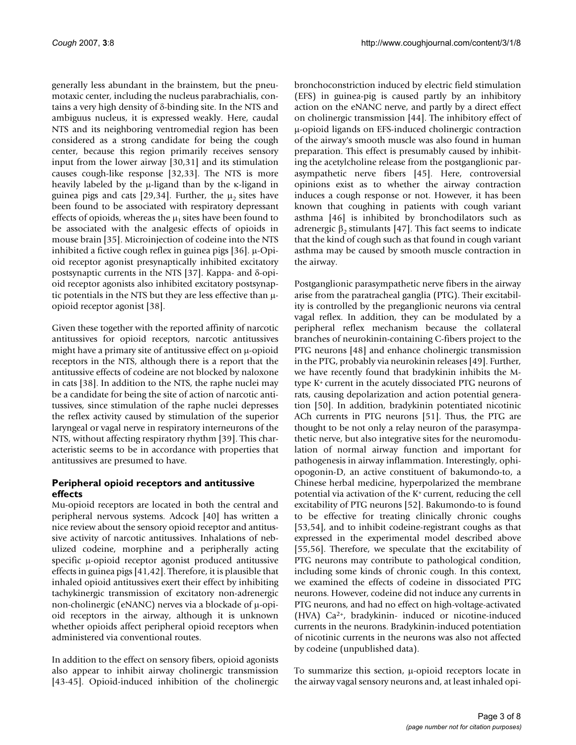generally less abundant in the brainstem, but the pneumotaxic center, including the nucleus parabrachialis, contains a very high density of δ-binding site. In the NTS and ambiguus nucleus, it is expressed weakly. Here, caudal NTS and its neighboring ventromedial region has been considered as a strong candidate for being the cough center, because this region primarily receives sensory input from the lower airway [30,31] and its stimulation causes cough-like response [32,33]. The NTS is more heavily labeled by the µ-ligand than by the κ-ligand in guinea pigs and cats [29,34]. Further, the  $\mu_2$  sites have been found to be associated with respiratory depressant effects of opioids, whereas the  $\mu_1$  sites have been found to be associated with the analgesic effects of opioids in mouse brain [35]. Microinjection of codeine into the NTS inhibited a fictive cough reflex in guinea pigs [36]. µ-Opioid receptor agonist presynaptically inhibited excitatory postsynaptic currents in the NTS [37]. Kappa- and δ-opioid receptor agonists also inhibited excitatory postsynaptic potentials in the NTS but they are less effective than µopioid receptor agonist [38].

Given these together with the reported affinity of narcotic antitussives for opioid receptors, narcotic antitussives might have a primary site of antitussive effect on µ-opioid receptors in the NTS, although there is a report that the antitussive effects of codeine are not blocked by naloxone in cats [38]. In addition to the NTS, the raphe nuclei may be a candidate for being the site of action of narcotic antitussives, since stimulation of the raphe nuclei depresses the reflex activity caused by stimulation of the superior laryngeal or vagal nerve in respiratory interneurons of the NTS, without affecting respiratory rhythm [39]. This characteristic seems to be in accordance with properties that antitussives are presumed to have.

# **Peripheral opioid receptors and antitussive effects**

Mu-opioid receptors are located in both the central and peripheral nervous systems. Adcock [40] has written a nice review about the sensory opioid receptor and antitussive activity of narcotic antitussives. Inhalations of nebulized codeine, morphine and a peripherally acting specific µ-opioid receptor agonist produced antitussive effects in guinea pigs [41,42]. Therefore, it is plausible that inhaled opioid antitussives exert their effect by inhibiting tachykinergic transmission of excitatory non-adrenergic non-cholinergic (eNANC) nerves via a blockade of µ-opioid receptors in the airway, although it is unknown whether opioids affect peripheral opioid receptors when administered via conventional routes.

In addition to the effect on sensory fibers, opioid agonists also appear to inhibit airway cholinergic transmission [43-45]. Opioid-induced inhibition of the cholinergic bronchoconstriction induced by electric field stimulation (EFS) in guinea-pig is caused partly by an inhibitory action on the eNANC nerve, and partly by a direct effect on cholinergic transmission [44]. The inhibitory effect of µ-opioid ligands on EFS-induced cholinergic contraction of the airway's smooth muscle was also found in human preparation. This effect is presumably caused by inhibiting the acetylcholine release from the postganglionic parasympathetic nerve fibers [45]. Here, controversial opinions exist as to whether the airway contraction induces a cough response or not. However, it has been known that coughing in patients with cough variant asthma [46] is inhibited by bronchodilators such as adrenergic  $β_2$  stimulants [47]. This fact seems to indicate that the kind of cough such as that found in cough variant asthma may be caused by smooth muscle contraction in the airway.

Postganglionic parasympathetic nerve fibers in the airway arise from the paratracheal ganglia (PTG). Their excitability is controlled by the preganglionic neurons via central vagal reflex. In addition, they can be modulated by a peripheral reflex mechanism because the collateral branches of neurokinin-containing C-fibers project to the PTG neurons [48] and enhance cholinergic transmission in the PTG, probably via neurokinin releases [49]. Further, we have recently found that bradykinin inhibits the Mtype K+ current in the acutely dissociated PTG neurons of rats, causing depolarization and action potential generation [50]. In addition, bradykinin potentiated nicotinic ACh currents in PTG neurons [51]. Thus, the PTG are thought to be not only a relay neuron of the parasympathetic nerve, but also integrative sites for the neuromodulation of normal airway function and important for pathogenesis in airway inflammation. Interestingly, ophiopogonin-D, an active constituent of bakumondo-to, a Chinese herbal medicine, hyperpolarized the membrane potential via activation of the K+ current, reducing the cell excitability of PTG neurons [52]. Bakumondo-to is found to be effective for treating clinically chronic coughs [53,54], and to inhibit codeine-registrant coughs as that expressed in the experimental model described above [55,56]. Therefore, we speculate that the excitability of PTG neurons may contribute to pathological condition, including some kinds of chronic cough. In this context, we examined the effects of codeine in dissociated PTG neurons. However, codeine did not induce any currents in PTG neurons, and had no effect on high-voltage-activated (HVA) Ca2+, bradykinin- induced or nicotine-induced currents in the neurons. Bradykinin-induced potentiation of nicotinic currents in the neurons was also not affected by codeine (unpublished data).

To summarize this section, µ-opioid receptors locate in the airway vagal sensory neurons and, at least inhaled opi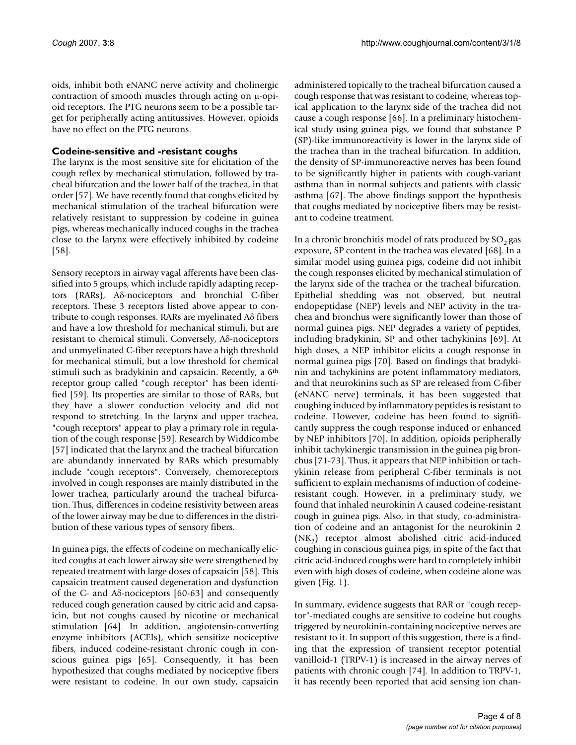oids, inhibit both eNANC nerve activity and cholinergic contraction of smooth muscles through acting on µ-opioid receptors. The PTG neurons seem to be a possible target for peripherally acting antitussives. However, opioids have no effect on the PTG neurons.

## **Codeine-sensitive and -resistant coughs**

The larynx is the most sensitive site for elicitation of the cough reflex by mechanical stimulation, followed by tracheal bifurcation and the lower half of the trachea, in that order [57]. We have recently found that coughs elicited by mechanical stimulation of the tracheal bifurcation were relatively resistant to suppression by codeine in guinea pigs, whereas mechanically induced coughs in the trachea close to the larynx were effectively inhibited by codeine  $[58]$ .

Sensory receptors in airway vagal afferents have been classified into 5 groups, which include rapidly adapting receptors (RARs), Aδ-nociceptors and bronchial C-fiber receptors. These 3 receptors listed above appear to contribute to cough responses. RARs are myelinated Aδ fibers and have a low threshold for mechanical stimuli, but are resistant to chemical stimuli. Conversely, Aδ-nociceptors and unmyelinated C-fiber receptors have a high threshold for mechanical stimuli, but a low threshold for chemical stimuli such as bradykinin and capsaicin. Recently, a 6th receptor group called "cough receptor" has been identified [59]. Its properties are similar to those of RARs, but they have a slower conduction velocity and did not respond to stretching. In the larynx and upper trachea, "cough receptors" appear to play a primary role in regulation of the cough response [59]. Research by Widdicombe [57] indicated that the larynx and the tracheal bifurcation are abundantly innervated by RARs which presumably include "cough receptors". Conversely, chemoreceptors involved in cough responses are mainly distributed in the lower trachea, particularly around the tracheal bifurcation. Thus, differences in codeine resistivity between areas of the lower airway may be due to differences in the distribution of these various types of sensory fibers.

In guinea pigs, the effects of codeine on mechanically elicited coughs at each lower airway site were strengthened by repeated treatment with large doses of capsaicin [58]. This capsaicin treatment caused degeneration and dysfunction of the C- and Aδ-nociceptors [60-63] and consequently reduced cough generation caused by citric acid and capsaicin, but not coughs caused by nicotine or mechanical stimulation [64]. In addition, angiotensin-converting enzyme inhibitors (ACEIs), which sensitize nociceptive fibers, induced codeine-resistant chronic cough in conscious guinea pigs [65]. Consequently, it has been hypothesized that coughs mediated by nociceptive fibers were resistant to codeine. In our own study, capsaicin

administered topically to the tracheal bifurcation caused a cough response that was resistant to codeine, whereas topical application to the larynx side of the trachea did not cause a cough response [66]. In a preliminary histochemical study using guinea pigs, we found that substance P (SP)-like immunoreactivity is lower in the larynx side of the trachea than in the tracheal bifurcation. In addition, the density of SP-immunoreactive nerves has been found to be significantly higher in patients with cough-variant asthma than in normal subjects and patients with classic asthma [67]. The above findings support the hypothesis that coughs mediated by nociceptive fibers may be resistant to codeine treatment.

In a chronic bronchitis model of rats produced by  $SO_2$  gas exposure, SP content in the trachea was elevated [68]. In a similar model using guinea pigs, codeine did not inhibit the cough responses elicited by mechanical stimulation of the larynx side of the trachea or the tracheal bifurcation. Epithelial shedding was not observed, but neutral endopeptidase (NEP) levels and NEP activity in the trachea and bronchus were significantly lower than those of normal guinea pigs. NEP degrades a variety of peptides, including bradykinin, SP and other tachykinins [69]. At high doses, a NEP inhibitor elicits a cough response in normal guinea pigs [70]. Based on findings that bradykinin and tachykinins are potent inflammatory mediators, and that neurokinins such as SP are released from C-fiber (eNANC nerve) terminals, it has been suggested that coughing induced by inflammatory peptides is resistant to codeine. However, codeine has been found to significantly suppress the cough response induced or enhanced by NEP inhibitors [70]. In addition, opioids peripherally inhibit tachykinergic transmission in the guinea pig bronchus [71-[73\]](#page-7-0). Thus, it appears that NEP inhibition or tachykinin release from peripheral C-fiber terminals is not sufficient to explain mechanisms of induction of codeineresistant cough. However, in a preliminary study, we found that inhaled neurokinin A caused codeine-resistant cough in guinea pigs. Also, in that study, co-administration of codeine and an antagonist for the neurokinin 2  $(NK<sub>2</sub>)$  receptor almost abolished citric acid-induced coughing in conscious guinea pigs, in spite of the fact that citric acid-induced coughs were hard to completely inhibit even with high doses of codeine, when codeine alone was given (Fig. 1).

In summary, evidence suggests that RAR or "cough receptor"-mediated coughs are sensitive to codeine but coughs triggered by neurokinin-containing nociceptive nerves are resistant to it. In support of this suggestion, there is a finding that the expression of transient receptor potential vanilloid-1 (TRPV-1) is increased in the airway nerves of patients with chronic cough [74]. In addition to TRPV-1, it has recently been reported that acid sensing ion chan-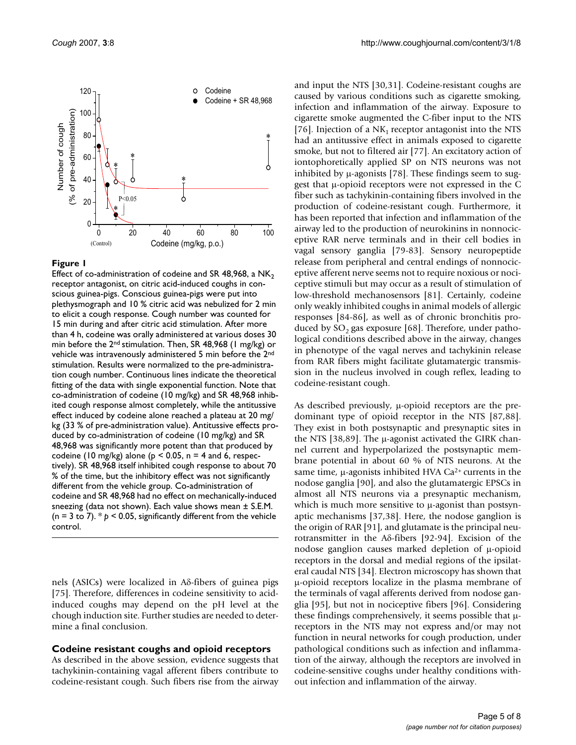

## Effect of co-administration of codeine and SR 48,968, a NK2 receptor antagonist, on citric scious guinea-pigs **Figure 1** acid-induced coughs in con-

Effect of co-administration of codeine and SR 48,968, a NK $_{\rm 2}$ receptor antagonist, on citric acid-induced coughs in conscious guinea-pigs. Conscious guinea-pigs were put into plethysmograph and 10 % citric acid was nebulized for 2 min to elicit a cough response. Cough number was counted for 15 min during and after citric acid stimulation. After more than 4 h, codeine was orally administered at various doses 30 min before the 2nd stimulation. Then, SR 48,968 (1 mg/kg) or vehicle was intravenously administered 5 min before the 2nd stimulation. Results were normalized to the pre-administration cough number. Continuous lines indicate the theoretical fitting of the data with single exponential function. Note that co-administration of codeine (10 mg/kg) and SR 48,968 inhibited cough response almost completely, while the antitussive effect induced by codeine alone reached a plateau at 20 mg/ kg (33 % of pre-administration value). Antitussive effects produced by co-administration of codeine (10 mg/kg) and SR 48,968 was significantly more potent than that produced by codeine (10 mg/kg) alone ( $p < 0.05$ , n = 4 and 6, respectively). SR 48,968 itself inhibited cough response to about 70 % of the time, but the inhibitory effect was not significantly different from the vehicle group. Co-administration of codeine and SR 48,968 had no effect on mechanically-induced sneezing (data not shown). Each value shows mean ± S.E.M. ( $n = 3$  to 7).  $* p < 0.05$ , significantly different from the vehicle control.

nels (ASICs) were localized in Aδ-fibers of guinea pigs [75]. Therefore, differences in codeine sensitivity to acidinduced coughs may depend on the pH level at the chough induction site. Further studies are needed to determine a final conclusion.

#### **Codeine resistant coughs and opioid receptors**

As described in the above session, evidence suggests that tachykinin-containing vagal afferent fibers contribute to codeine-resistant cough. Such fibers rise from the airway and input the NTS [30,31]. Codeine-resistant coughs are caused by various conditions such as cigarette smoking, infection and inflammation of the airway. Exposure to cigarette smoke augmented the C-fiber input to the NTS [76]. Injection of a  $NK_1$  receptor antagonist into the NTS had an antitussive effect in animals exposed to cigarette smoke, but not to filtered air [77]. An excitatory action of iontophoretically applied SP on NTS neurons was not inhibited by  $\mu$ -agonists [78]. These findings seem to suggest that µ-opioid receptors were not expressed in the C fiber such as tachykinin-containing fibers involved in the production of codeine-resistant cough. Furthermore, it has been reported that infection and inflammation of the airway led to the production of neurokinins in nonnociceptive RAR nerve terminals and in their cell bodies in vagal sensory ganglia [79-83]. Sensory neuropeptide release from peripheral and central endings of nonnociceptive afferent nerve seems not to require noxious or nociceptive stimuli but may occur as a result of stimulation of low-threshold mechanosensors [81]. Certainly, codeine only weakly inhibited coughs in animal models of allergic responses [84-86], as well as of chronic bronchitis produced by  $SO_2$  gas exposure [68]. Therefore, under pathological conditions described above in the airway, changes in phenotype of the vagal nerves and tachykinin release from RAR fibers might facilitate glutamatergic transmission in the nucleus involved in cough reflex, leading to codeine-resistant cough.

As described previously,  $\mu$ -opioid receptors are the predominant type of opioid receptor in the NTS [87,88]. They exist in both postsynaptic and presynaptic sites in the NTS  $[38,89]$ . The  $\mu$ -agonist activated the GIRK channel current and hyperpolarized the postsynaptic membrane potential in about 60 % of NTS neurons. At the same time,  $\mu$ -agonists inhibited HVA Ca<sup>2+</sup> currents in the nodose ganglia [90], and also the glutamatergic EPSCs in almost all NTS neurons via a presynaptic mechanism, which is much more sensitive to  $\mu$ -agonist than postsynaptic mechanisms [37,38]. Here, the nodose ganglion is the origin of RAR [91], and glutamate is the principal neurotransmitter in the Aδ-fibers [92-94]. Excision of the nodose ganglion causes marked depletion of µ-opioid receptors in the dorsal and medial regions of the ipsilateral caudal NTS [34]. Electron microscopy has shown that µ-opioid receptors localize in the plasma membrane of the terminals of vagal afferents derived from nodose ganglia [95], but not in nociceptive fibers [96]. Considering these findings comprehensively, it seems possible that  $\mu$ receptors in the NTS may not express and/or may not function in neural networks for cough production, under pathological conditions such as infection and inflammation of the airway, although the receptors are involved in codeine-sensitive coughs under healthy conditions without infection and inflammation of the airway.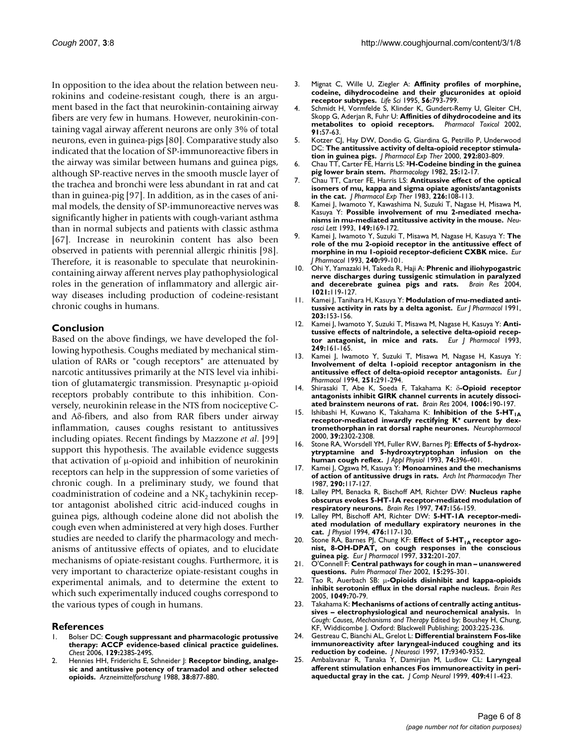In opposition to the idea about the relation between neurokinins and codeine-resistant cough, there is an argument based in the fact that neurokinin-containing airway fibers are very few in humans. However, neurokinin-containing vagal airway afferent neurons are only 3% of total neurons, even in guinea-pigs [80]. Comparative study also indicated that the location of SP-immunoreactive fibers in the airway was similar between humans and guinea pigs, although SP-reactive nerves in the smooth muscle layer of the trachea and bronchi were less abundant in rat and cat than in guinea-pig [97]. In addition, as in the cases of animal models, the density of SP-immunoreactive nerves was significantly higher in patients with cough-variant asthma than in normal subjects and patients with classic asthma [67]. Increase in neurokinin content has also been observed in patients with perennial allergic rhinitis [98]. Therefore, it is reasonable to speculate that neurokinincontaining airway afferent nerves play pathophysiological roles in the generation of inflammatory and allergic airway diseases including production of codeine-resistant chronic coughs in humans.

## **Conclusion**

Based on the above findings, we have developed the following hypothesis. Coughs mediated by mechanical stimulation of RARs or "cough receptors" are attenuated by narcotic antitussives primarily at the NTS level via inhibition of glutamatergic transmission. Presynaptic µ-opioid receptors probably contribute to this inhibition. Conversely, neurokinin release in the NTS from nociceptive Cand Aδ-fibers, and also from RAR fibers under airway inflammation, causes coughs resistant to antitussives including opiates. Recent findings by Mazzone *et al*. [99] support this hypothesis. The available evidence suggests that activation of µ-opioid and inhibition of neurokinin receptors can help in the suppression of some varieties of chronic cough. In a preliminary study, we found that coadministration of codeine and a  $NK<sub>2</sub>$  tachykinin receptor antagonist abolished citric acid-induced coughs in guinea pigs, although codeine alone did not abolish the cough even when administered at very high doses. Further studies are needed to clarify the pharmacology and mechanisms of antitussive effects of opiates, and to elucidate mechanisms of opiate-resistant coughs. Furthermore, it is very important to characterize opiate-resistant coughs in experimental animals, and to determine the extent to which such experimentally induced coughs correspond to the various types of cough in humans.

### **References**

- 1. Bolser DC: **[Cough suppressant and pharmacologic protussive](http://www.ncbi.nlm.nih.gov/entrez/query.fcgi?cmd=Retrieve&db=PubMed&dopt=Abstract&list_uids=16428717) [therapy: ACCP evidence-based clinical practice guidelines.](http://www.ncbi.nlm.nih.gov/entrez/query.fcgi?cmd=Retrieve&db=PubMed&dopt=Abstract&list_uids=16428717)** *Chest* 2006, **129:**238S-249S.
- Hennies HH, Friderichs E, Schneider |: [Receptor binding, analge](http://www.ncbi.nlm.nih.gov/entrez/query.fcgi?cmd=Retrieve&db=PubMed&dopt=Abstract&list_uids=2849950)**[sic and antitussive potency of tramadol and other selected](http://www.ncbi.nlm.nih.gov/entrez/query.fcgi?cmd=Retrieve&db=PubMed&dopt=Abstract&list_uids=2849950) [opioids.](http://www.ncbi.nlm.nih.gov/entrez/query.fcgi?cmd=Retrieve&db=PubMed&dopt=Abstract&list_uids=2849950)** *Arzneimittelforschung* 1988, **38:**877-880.
- 3. Mignat C, Wille U, Ziegler A: **[Affinity profiles of morphine,](http://www.ncbi.nlm.nih.gov/entrez/query.fcgi?cmd=Retrieve&db=PubMed&dopt=Abstract&list_uids=7885194) [codeine, dihydrocodeine and their glucuronides at opioid](http://www.ncbi.nlm.nih.gov/entrez/query.fcgi?cmd=Retrieve&db=PubMed&dopt=Abstract&list_uids=7885194) [receptor subtypes.](http://www.ncbi.nlm.nih.gov/entrez/query.fcgi?cmd=Retrieve&db=PubMed&dopt=Abstract&list_uids=7885194)** *Life Sci* 1995, **56:**793-799.
- 4. Schmidt H, Vormfelde S, Klinder K, Gundert-Remy U, Gleiter CH, Skopp G, Aderjan R, Fuhr U: **[Affinities of dihydrocodeine and its](http://www.ncbi.nlm.nih.gov/entrez/query.fcgi?cmd=Retrieve&db=PubMed&dopt=Abstract&list_uids=12420793) [metabolites to opioid receptors.](http://www.ncbi.nlm.nih.gov/entrez/query.fcgi?cmd=Retrieve&db=PubMed&dopt=Abstract&list_uids=12420793)** *Pharmacol Toxicol* 2002, **91:**57-63.
- 5. Kotzer CJ, Hay DW, Dondio G, Giardina G, Petrillo P, Underwood DC: **[The antitussive activity of delta-opioid receptor stimula](http://www.ncbi.nlm.nih.gov/entrez/query.fcgi?cmd=Retrieve&db=PubMed&dopt=Abstract&list_uids=10640321)[tion in guinea pigs.](http://www.ncbi.nlm.nih.gov/entrez/query.fcgi?cmd=Retrieve&db=PubMed&dopt=Abstract&list_uids=10640321)** *J Pharmacol Exp Ther* 2000, **292:**803-809.
- <span id="page-5-0"></span>6. Chau TT, Carter FE, Harris LS: **[3H-Codeine binding in the guinea](http://www.ncbi.nlm.nih.gov/entrez/query.fcgi?cmd=Retrieve&db=PubMed&dopt=Abstract&list_uids=6289361) [pig lower brain stem.](http://www.ncbi.nlm.nih.gov/entrez/query.fcgi?cmd=Retrieve&db=PubMed&dopt=Abstract&list_uids=6289361)** *Pharmacology* 1982, **25:**12-17.
- 7. Chau TT, Carter FE, Harris LS: **[Antitussive effect of the optical](http://www.ncbi.nlm.nih.gov/entrez/query.fcgi?cmd=Retrieve&db=PubMed&dopt=Abstract&list_uids=6864534) [isomers of mu, kappa and sigma opiate agonists/antagonists](http://www.ncbi.nlm.nih.gov/entrez/query.fcgi?cmd=Retrieve&db=PubMed&dopt=Abstract&list_uids=6864534) [in the cat.](http://www.ncbi.nlm.nih.gov/entrez/query.fcgi?cmd=Retrieve&db=PubMed&dopt=Abstract&list_uids=6864534)** *J Pharmacol Exp Ther* 1983, **226:**108-113.
- 8. Kamei J, Iwamoto Y, Kawashima N, Suzuki T, Nagase H, Misawa M, Kasuya Y: **[Possible involvement of mu 2-mediated mecha](http://www.ncbi.nlm.nih.gov/entrez/query.fcgi?cmd=Retrieve&db=PubMed&dopt=Abstract&list_uids=8386345)[nisms in mu-mediated antitussive activity in the mouse.](http://www.ncbi.nlm.nih.gov/entrez/query.fcgi?cmd=Retrieve&db=PubMed&dopt=Abstract&list_uids=8386345)** *Neurosci Lett* 1993, **149:**169-172.
- 9. Kamei J, Iwamoto Y, Suzuki T, Misawa M, Nagase H, Kasuya Y: **[The](http://www.ncbi.nlm.nih.gov/entrez/query.fcgi?cmd=Retrieve&db=PubMed&dopt=Abstract&list_uids=8405130) [role of the mu 2-opioid receptor in the antitussive effect of](http://www.ncbi.nlm.nih.gov/entrez/query.fcgi?cmd=Retrieve&db=PubMed&dopt=Abstract&list_uids=8405130) [morphine in mu 1-opioid receptor-deficient CXBK mice.](http://www.ncbi.nlm.nih.gov/entrez/query.fcgi?cmd=Retrieve&db=PubMed&dopt=Abstract&list_uids=8405130)** *Eur J Pharmacol* 1993, **240:**99-101.
- 10. Ohi Y, Yamazaki H, Takeda R, Haji A: **[Phrenic and iliohypogastric](http://www.ncbi.nlm.nih.gov/entrez/query.fcgi?cmd=Retrieve&db=PubMed&dopt=Abstract&list_uids=15328039) [nerve discharges during tussigenic stimulation in paralyzed](http://www.ncbi.nlm.nih.gov/entrez/query.fcgi?cmd=Retrieve&db=PubMed&dopt=Abstract&list_uids=15328039)** [and decerebrate guinea pigs and rats.](http://www.ncbi.nlm.nih.gov/entrez/query.fcgi?cmd=Retrieve&db=PubMed&dopt=Abstract&list_uids=15328039) **1021:**119-127.
- 11. Kamei J, Tanihara H, Kasuya Y: **[Modulation of mu-mediated anti](http://www.ncbi.nlm.nih.gov/entrez/query.fcgi?cmd=Retrieve&db=PubMed&dopt=Abstract&list_uids=1665789)[tussive activity in rats by a delta agonist.](http://www.ncbi.nlm.nih.gov/entrez/query.fcgi?cmd=Retrieve&db=PubMed&dopt=Abstract&list_uids=1665789)** *Eur J Pharmacol* 1991, **203:**153-156.
- 12. Kamei J, Iwamoto Y, Suzuki T, Misawa M, Nagase H, Kasuya Y: **[Anti](http://www.ncbi.nlm.nih.gov/entrez/query.fcgi?cmd=Retrieve&db=PubMed&dopt=Abstract&list_uids=8287897)[tussive effects of naltrindole, a selective delta-opioid recep](http://www.ncbi.nlm.nih.gov/entrez/query.fcgi?cmd=Retrieve&db=PubMed&dopt=Abstract&list_uids=8287897)[tor antagonist, in mice and rats.](http://www.ncbi.nlm.nih.gov/entrez/query.fcgi?cmd=Retrieve&db=PubMed&dopt=Abstract&list_uids=8287897)** *Eur J Pharmacol* 1993, **249:**161-165.
- 13. Kamei J, Iwamoto Y, Suzuki T, Misawa M, Nagase H, Kasuya Y: **[Involvement of delta 1-opioid receptor antagonism in the](http://www.ncbi.nlm.nih.gov/entrez/query.fcgi?cmd=Retrieve&db=PubMed&dopt=Abstract&list_uids=8149982) [antitussive effect of delta-opioid receptor antagonists.](http://www.ncbi.nlm.nih.gov/entrez/query.fcgi?cmd=Retrieve&db=PubMed&dopt=Abstract&list_uids=8149982)** *Eur J Pharmacol* 1994, **251:**291-294.
- 14. Shirasaki T, Abe K, Soeda F, Takahama K: δ**[-Opioid receptor](http://www.ncbi.nlm.nih.gov/entrez/query.fcgi?cmd=Retrieve&db=PubMed&dopt=Abstract&list_uids=15051522) [antagonists inhibit GIRK channel currents in acutely dissoci](http://www.ncbi.nlm.nih.gov/entrez/query.fcgi?cmd=Retrieve&db=PubMed&dopt=Abstract&list_uids=15051522)[ated brainstem neurons of rat.](http://www.ncbi.nlm.nih.gov/entrez/query.fcgi?cmd=Retrieve&db=PubMed&dopt=Abstract&list_uids=15051522)** *Brain Res* 2004, **1006:**190-197.
- 15. Ishibashi H, Kuwano K, Takahama K: **Inhibition of the 5-HT**<sub>IA</sub> receptor-mediated inwardly rectifying K<sup>+</sup> current by dex**tromethorphan in rat dorsal raphe neurones.** *Neuropharmacol* 2000, **39:**2302-2308.
- Stone RA, Worsdell YM, Fuller RW, Barnes PJ: [Effects of 5-hydrox](http://www.ncbi.nlm.nih.gov/entrez/query.fcgi?cmd=Retrieve&db=PubMed&dopt=Abstract&list_uids=8444719)**[ytryptamine and 5-hydroxytryptophan infusion on the](http://www.ncbi.nlm.nih.gov/entrez/query.fcgi?cmd=Retrieve&db=PubMed&dopt=Abstract&list_uids=8444719) [human cough reflex.](http://www.ncbi.nlm.nih.gov/entrez/query.fcgi?cmd=Retrieve&db=PubMed&dopt=Abstract&list_uids=8444719)** *J Appl Physiol* 1993, **74:**396-401.
- 17. Kamei J, Ogawa M, Kasuya Y: **[Monoamines and the mechanisms](http://www.ncbi.nlm.nih.gov/entrez/query.fcgi?cmd=Retrieve&db=PubMed&dopt=Abstract&list_uids=2965557) [of action of antitussive drugs in rats.](http://www.ncbi.nlm.nih.gov/entrez/query.fcgi?cmd=Retrieve&db=PubMed&dopt=Abstract&list_uids=2965557)** *Arch Int Pharmacodyn Ther* 1987, **290:**117-127.
- 18. Lalley PM, Benacka R, Bischoff AM, Richter DW: **[Nucleus raphe](http://www.ncbi.nlm.nih.gov/entrez/query.fcgi?cmd=Retrieve&db=PubMed&dopt=Abstract&list_uids=9042541) [obscurus evokes 5-HT-1A receptor-mediated modulation of](http://www.ncbi.nlm.nih.gov/entrez/query.fcgi?cmd=Retrieve&db=PubMed&dopt=Abstract&list_uids=9042541) [respiratory neurons.](http://www.ncbi.nlm.nih.gov/entrez/query.fcgi?cmd=Retrieve&db=PubMed&dopt=Abstract&list_uids=9042541)** *Brain Res* 1997, **747:**156-159.
- 19. Lalley PM, Bischoff AM, Richter DW: **[5-HT-1A receptor-medi](http://www.ncbi.nlm.nih.gov/entrez/query.fcgi?cmd=Retrieve&db=PubMed&dopt=Abstract&list_uids=8046627)[ated modulation of medullary expiratory neurones in the](http://www.ncbi.nlm.nih.gov/entrez/query.fcgi?cmd=Retrieve&db=PubMed&dopt=Abstract&list_uids=8046627) [cat.](http://www.ncbi.nlm.nih.gov/entrez/query.fcgi?cmd=Retrieve&db=PubMed&dopt=Abstract&list_uids=8046627)** *J Physiol* 1994, **476:**117-130.
- 20. Stone RA, Barnes PJ, Chung KF: Effect of 5-HT<sub>IA</sub> [receptor ago](http://www.ncbi.nlm.nih.gov/entrez/query.fcgi?cmd=Retrieve&db=PubMed&dopt=Abstract&list_uids=9286622)**[nist, 8-OH-DPAT, on cough responses in the conscious](http://www.ncbi.nlm.nih.gov/entrez/query.fcgi?cmd=Retrieve&db=PubMed&dopt=Abstract&list_uids=9286622) [guinea pig.](http://www.ncbi.nlm.nih.gov/entrez/query.fcgi?cmd=Retrieve&db=PubMed&dopt=Abstract&list_uids=9286622)** *Eur J Pharmacol* 1997, **332:**201-207.
- 21. O'Connell F: **[Central pathways for cough in man unanswered](http://www.ncbi.nlm.nih.gov/entrez/query.fcgi?cmd=Retrieve&db=PubMed&dopt=Abstract&list_uids=12099782) [questions.](http://www.ncbi.nlm.nih.gov/entrez/query.fcgi?cmd=Retrieve&db=PubMed&dopt=Abstract&list_uids=12099782)** *Pulm Pharmacol Ther* 2002, **15:**295-301.
- 22. Tao R, Auerbach SB: µ**[-Opioids disinhibit and kappa-opioids](http://www.ncbi.nlm.nih.gov/entrez/query.fcgi?cmd=Retrieve&db=PubMed&dopt=Abstract&list_uids=15935332) [inhibit serotonin efflux in the dorsal raphe nucleus.](http://www.ncbi.nlm.nih.gov/entrez/query.fcgi?cmd=Retrieve&db=PubMed&dopt=Abstract&list_uids=15935332)** *Brain Res* 2005, **1049:**70-79.
- 23. Takahama K: **Mechanisms of actions of centrally acting antitussives – electrophysiological and neurochemical analysis.** In *Cough: Causes, Mechanisms and Therapy* Edited by: Boushey H, Chung, KF, Widdicombe J. Oxford: Blackwell Publishing; 2003:225-236.
- 24. Gestreau C, Bianchi AL, Grelot L: **[Differential brainstem Fos-like](http://www.ncbi.nlm.nih.gov/entrez/query.fcgi?cmd=Retrieve&db=PubMed&dopt=Abstract&list_uids=9364079) [immunoreactivity after laryngeal-induced coughing and its](http://www.ncbi.nlm.nih.gov/entrez/query.fcgi?cmd=Retrieve&db=PubMed&dopt=Abstract&list_uids=9364079) [reduction by codeine.](http://www.ncbi.nlm.nih.gov/entrez/query.fcgi?cmd=Retrieve&db=PubMed&dopt=Abstract&list_uids=9364079)** *J Neurosci* 1997, **17:**9340-9352.
- 25. Ambalavanar R, Tanaka Y, Damirjian M, Ludlow CL: **[Laryngeal](http://www.ncbi.nlm.nih.gov/entrez/query.fcgi?cmd=Retrieve&db=PubMed&dopt=Abstract&list_uids=10379827) [afferent stimulation enhances Fos immunoreactivity in peri](http://www.ncbi.nlm.nih.gov/entrez/query.fcgi?cmd=Retrieve&db=PubMed&dopt=Abstract&list_uids=10379827)[aqueductal gray in the cat.](http://www.ncbi.nlm.nih.gov/entrez/query.fcgi?cmd=Retrieve&db=PubMed&dopt=Abstract&list_uids=10379827)** *J Comp Neurol* 1999, **409:**411-423.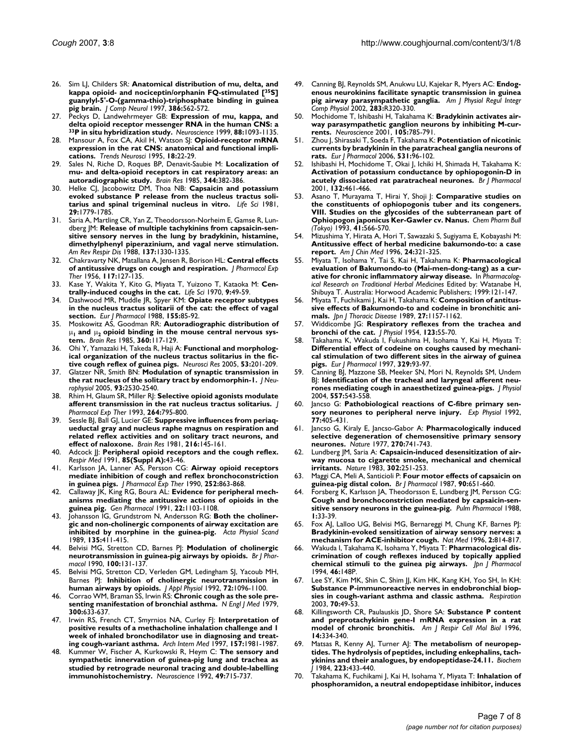- 26. Sim LJ, Childers SR: **Anatomical distribution of mu, delta, and kappa opioid- and nociceptin/orphanin FQ-stimulated [35[S\]](http://www.ncbi.nlm.nih.gov/entrez/query.fcgi?cmd=Retrieve&db=PubMed&dopt=Abstract&list_uids=9378852) [guanylyl-5'-O-\(gamma-thio\)-triphosphate binding in guinea](http://www.ncbi.nlm.nih.gov/entrez/query.fcgi?cmd=Retrieve&db=PubMed&dopt=Abstract&list_uids=9378852) [pig brain.](http://www.ncbi.nlm.nih.gov/entrez/query.fcgi?cmd=Retrieve&db=PubMed&dopt=Abstract&list_uids=9378852)** *J Comp Neurol* 1997, **386:**562-572.
- 27. Peckys D, Landwehrmeyer GB: **Expression of mu, kappa, and delta opioid receptor messenger RNA in the human CNS: a 3[3P in situ hybridization study.](http://www.ncbi.nlm.nih.gov/entrez/query.fcgi?cmd=Retrieve&db=PubMed&dopt=Abstract&list_uids=10336124)** *Neuroscience* 1999, **88:**1093-1135.
- 28. Mansour A, Fox CA, Akil H, Watson SJ: [Opioid-receptor mRNA](http://www.ncbi.nlm.nih.gov/entrez/query.fcgi?cmd=Retrieve&db=PubMed&dopt=Abstract&list_uids=7535487) **[expression in the rat CNS: anatomical and functional impli](http://www.ncbi.nlm.nih.gov/entrez/query.fcgi?cmd=Retrieve&db=PubMed&dopt=Abstract&list_uids=7535487)[cations.](http://www.ncbi.nlm.nih.gov/entrez/query.fcgi?cmd=Retrieve&db=PubMed&dopt=Abstract&list_uids=7535487)** *Trends Neurosci* 1995, **18:**22-29.
- 29. Sales N, Riche D, Roques BP, Denavit-Saubie M: **[Localization of](http://www.ncbi.nlm.nih.gov/entrez/query.fcgi?cmd=Retrieve&db=PubMed&dopt=Abstract&list_uids=2994842) [mu- and delta-opioid receptors in cat respiratory areas: an](http://www.ncbi.nlm.nih.gov/entrez/query.fcgi?cmd=Retrieve&db=PubMed&dopt=Abstract&list_uids=2994842) [autoradiographic study.](http://www.ncbi.nlm.nih.gov/entrez/query.fcgi?cmd=Retrieve&db=PubMed&dopt=Abstract&list_uids=2994842)** *Brain Res* 1985, **344:**382-386.
- 30. Helke CJ, Jacobowitz DM, Thoa NB: **[Capsaicin and potassium](http://www.ncbi.nlm.nih.gov/entrez/query.fcgi?cmd=Retrieve&db=PubMed&dopt=Abstract&list_uids=6170855) [evoked substance P release from the nucleus tractus soli](http://www.ncbi.nlm.nih.gov/entrez/query.fcgi?cmd=Retrieve&db=PubMed&dopt=Abstract&list_uids=6170855)[tarius and spinal trigeminal nucleus in vitro.](http://www.ncbi.nlm.nih.gov/entrez/query.fcgi?cmd=Retrieve&db=PubMed&dopt=Abstract&list_uids=6170855)** *Life Sci* 1981, **29:**1779-1785.
- 31. Saria A, Martling CR, Yan Z, Theodorsson-Norheim E, Gamse R, Lundberg JM: **[Release of multiple tachykinins from capsaicin-sen](http://www.ncbi.nlm.nih.gov/entrez/query.fcgi?cmd=Retrieve&db=PubMed&dopt=Abstract&list_uids=2462373)sitive sensory nerves in the lung by bradykinin, histamine, [dimethylphenyl piperazinium, and vagal nerve stimulation.](http://www.ncbi.nlm.nih.gov/entrez/query.fcgi?cmd=Retrieve&db=PubMed&dopt=Abstract&list_uids=2462373)** *Am Rev Respir Dis* 1988, **137:**1330-1335.
- 32. Chakravarty NK, Matallana A, Jensen R, Borison HL: **[Central effects](http://www.ncbi.nlm.nih.gov/entrez/query.fcgi?cmd=Retrieve&db=PubMed&dopt=Abstract&list_uids=13332552) [of antitussive drugs on cough and respiration.](http://www.ncbi.nlm.nih.gov/entrez/query.fcgi?cmd=Retrieve&db=PubMed&dopt=Abstract&list_uids=13332552)** *J Pharmacol Exp Ther* 1956, **117:**127-135.
- 33. Kase Y, Wakita Y, Kito G, Miyata T, Yuizono T, Kataoka M: **[Cen](http://www.ncbi.nlm.nih.gov/entrez/query.fcgi?cmd=Retrieve&db=PubMed&dopt=Abstract&list_uids=5435854)[trally-induced coughs in the cat.](http://www.ncbi.nlm.nih.gov/entrez/query.fcgi?cmd=Retrieve&db=PubMed&dopt=Abstract&list_uids=5435854)** *Life Sci* 1970, **9:**49-59.
- 34. Dashwood MR, Muddle JR, Spyer KM: **[Opiate receptor subtypes](http://www.ncbi.nlm.nih.gov/entrez/query.fcgi?cmd=Retrieve&db=PubMed&dopt=Abstract&list_uids=2854074) [in the nucleus tractus solitarii of the cat: the effect of vagal](http://www.ncbi.nlm.nih.gov/entrez/query.fcgi?cmd=Retrieve&db=PubMed&dopt=Abstract&list_uids=2854074) [section.](http://www.ncbi.nlm.nih.gov/entrez/query.fcgi?cmd=Retrieve&db=PubMed&dopt=Abstract&list_uids=2854074)** *Eur J Pharmacol* 1988, **155:**85-92.
- 35. Moskowitz AS, Goodman RR: **Autoradiographic distribution of** µ**1 and** µ**2 [opioid binding in the mouse central nervous sys](http://www.ncbi.nlm.nih.gov/entrez/query.fcgi?cmd=Retrieve&db=PubMed&dopt=Abstract&list_uids=3000529)[tem.](http://www.ncbi.nlm.nih.gov/entrez/query.fcgi?cmd=Retrieve&db=PubMed&dopt=Abstract&list_uids=3000529)** *Brain Res* 1985, **360:**117-129.
- 36. Ohi Y, Yamazaki H, Takeda R, Haji A: **[Functional and morpholog](http://www.ncbi.nlm.nih.gov/entrez/query.fcgi?cmd=Retrieve&db=PubMed&dopt=Abstract&list_uids=16040147)[ical organization of the nucleus tractus solitarius in the fic](http://www.ncbi.nlm.nih.gov/entrez/query.fcgi?cmd=Retrieve&db=PubMed&dopt=Abstract&list_uids=16040147)[tive cough reflex of guinea pigs.](http://www.ncbi.nlm.nih.gov/entrez/query.fcgi?cmd=Retrieve&db=PubMed&dopt=Abstract&list_uids=16040147)** *Neurosci Res* 2005, **53:**201-209.
- 37. Glatzer NR, Smith BN: **[Modulation of synaptic transmission in](http://www.ncbi.nlm.nih.gov/entrez/query.fcgi?cmd=Retrieve&db=PubMed&dopt=Abstract&list_uids=15615836) [the rat nucleus of the solitary tract by endomorphin-1.](http://www.ncbi.nlm.nih.gov/entrez/query.fcgi?cmd=Retrieve&db=PubMed&dopt=Abstract&list_uids=15615836)** *J Neurophysiol* 2005, **93:**2530-2540.
- 38. Rhim H, Glaum SR, Miller RJ: **[Selective opioid agonists modulate](http://www.ncbi.nlm.nih.gov/entrez/query.fcgi?cmd=Retrieve&db=PubMed&dopt=Abstract&list_uids=8094753) [afferent transmission in the rat nucleus tractus solitarius.](http://www.ncbi.nlm.nih.gov/entrez/query.fcgi?cmd=Retrieve&db=PubMed&dopt=Abstract&list_uids=8094753)** *J Pharmacol Exp Ther* 1993, **264:**795-800.
- 39. Sessle BJ, Ball GJ, Lucier GE: **[Suppressive influences from periaq](http://www.ncbi.nlm.nih.gov/entrez/query.fcgi?cmd=Retrieve&db=PubMed&dopt=Abstract&list_uids=6266582)ueductal gray and nucleus raphe magnus on respiration and [related reflex activities and on solitary tract neurons, and](http://www.ncbi.nlm.nih.gov/entrez/query.fcgi?cmd=Retrieve&db=PubMed&dopt=Abstract&list_uids=6266582) [effect of naloxone.](http://www.ncbi.nlm.nih.gov/entrez/query.fcgi?cmd=Retrieve&db=PubMed&dopt=Abstract&list_uids=6266582)** *Brain Res* 1981, **216:**145-161.
- 40. Adcock ||: **[Peripheral opioid receptors and the cough reflex.](http://www.ncbi.nlm.nih.gov/entrez/query.fcgi?cmd=Retrieve&db=PubMed&dopt=Abstract&list_uids=1852031)** *Respir Med* 1991, **85(Suppl A):**43-46.
- 41. Karlsson JA, Lanner AS, Persson CG: **[Airway opioid receptors](http://www.ncbi.nlm.nih.gov/entrez/query.fcgi?cmd=Retrieve&db=PubMed&dopt=Abstract&list_uids=2156065) [mediate inhibition of cough and reflex bronchoconstriction](http://www.ncbi.nlm.nih.gov/entrez/query.fcgi?cmd=Retrieve&db=PubMed&dopt=Abstract&list_uids=2156065) [in guinea pigs.](http://www.ncbi.nlm.nih.gov/entrez/query.fcgi?cmd=Retrieve&db=PubMed&dopt=Abstract&list_uids=2156065)** *J Pharmacol Exp Ther* 1990, **252:**863-868.
- 42. Callaway JK, King RG, Boura AL: **[Evidence for peripheral mech](http://www.ncbi.nlm.nih.gov/entrez/query.fcgi?cmd=Retrieve&db=PubMed&dopt=Abstract&list_uids=1810807)[anisms mediating the antitussive actions of opioids in the](http://www.ncbi.nlm.nih.gov/entrez/query.fcgi?cmd=Retrieve&db=PubMed&dopt=Abstract&list_uids=1810807) [guinea pig.](http://www.ncbi.nlm.nih.gov/entrez/query.fcgi?cmd=Retrieve&db=PubMed&dopt=Abstract&list_uids=1810807)** *Gen Pharmacol* 1991, **22:**1103-1108.
- 43. Johansson IG, Grundstrom N, Andersson RG: **[Both the choliner](http://www.ncbi.nlm.nih.gov/entrez/query.fcgi?cmd=Retrieve&db=PubMed&dopt=Abstract&list_uids=2538998)[gic and non-cholinergic components of airway excitation are](http://www.ncbi.nlm.nih.gov/entrez/query.fcgi?cmd=Retrieve&db=PubMed&dopt=Abstract&list_uids=2538998) [inhibited by morphine in the guinea-pig.](http://www.ncbi.nlm.nih.gov/entrez/query.fcgi?cmd=Retrieve&db=PubMed&dopt=Abstract&list_uids=2538998)** *Acta Physiol Scand* 1989, **135:**411-415.
- 44. Belvisi MG, Stretton CD, Barnes PJ: **[Modulation of cholinergic](http://www.ncbi.nlm.nih.gov/entrez/query.fcgi?cmd=Retrieve&db=PubMed&dopt=Abstract&list_uids=1695531) [neurotransmission in guinea-pig airways by opioids.](http://www.ncbi.nlm.nih.gov/entrez/query.fcgi?cmd=Retrieve&db=PubMed&dopt=Abstract&list_uids=1695531)** *Br J Pharmacol* 1990, **100:**131-137.
- 45. Belvisi MG, Stretton CD, Verleden GM, Ledingham SJ, Yacoub MH, Barnes PJ: **[Inhibition of cholinergic neurotransmission in](http://www.ncbi.nlm.nih.gov/entrez/query.fcgi?cmd=Retrieve&db=PubMed&dopt=Abstract&list_uids=1314798) [human airways by opioids.](http://www.ncbi.nlm.nih.gov/entrez/query.fcgi?cmd=Retrieve&db=PubMed&dopt=Abstract&list_uids=1314798)** *J Appl Physiol* 1992, **72:**1096-1100.
- 46. Corrao WM, Braman SS, Irwin RS: **[Chronic cough as the sole pre](http://www.ncbi.nlm.nih.gov/entrez/query.fcgi?cmd=Retrieve&db=PubMed&dopt=Abstract&list_uids=763286)[senting manifestation of bronchial asthma.](http://www.ncbi.nlm.nih.gov/entrez/query.fcgi?cmd=Retrieve&db=PubMed&dopt=Abstract&list_uids=763286)** *N Engl J Med* 1979, **300:**633-637.
- 47. Irwin RS, French CT, Smyrnios NA, Curley FJ: **[Interpretation of](http://www.ncbi.nlm.nih.gov/entrez/query.fcgi?cmd=Retrieve&db=PubMed&dopt=Abstract&list_uids=9308510) positive results of a methacholine inhalation challenge and 1 [week of inhaled bronchodilator use in diagnosing and treat](http://www.ncbi.nlm.nih.gov/entrez/query.fcgi?cmd=Retrieve&db=PubMed&dopt=Abstract&list_uids=9308510)[ing cough-variant asthma.](http://www.ncbi.nlm.nih.gov/entrez/query.fcgi?cmd=Retrieve&db=PubMed&dopt=Abstract&list_uids=9308510)** *Arch Intern Med* 1997, **157:**1981-1987.
- 48. Kummer W, Fischer A, Kurkowski R, Heym C: **[The sensory and](http://www.ncbi.nlm.nih.gov/entrez/query.fcgi?cmd=Retrieve&db=PubMed&dopt=Abstract&list_uids=1380140) sympathetic innervation of guinea-pig lung and trachea as [studied by retrograde neuronal tracing and double-labelling](http://www.ncbi.nlm.nih.gov/entrez/query.fcgi?cmd=Retrieve&db=PubMed&dopt=Abstract&list_uids=1380140) [immunohistochemistry.](http://www.ncbi.nlm.nih.gov/entrez/query.fcgi?cmd=Retrieve&db=PubMed&dopt=Abstract&list_uids=1380140)** *Neuroscience* 1992, **49:**715-737.
- 49. Canning BJ, Reynolds SM, Anukwu LU, Kajekar R, Myers AC: **[Endog](http://www.ncbi.nlm.nih.gov/entrez/query.fcgi?cmd=Retrieve&db=PubMed&dopt=Abstract&list_uids=12121843)[enous neurokinins facilitate synaptic transmission in guinea](http://www.ncbi.nlm.nih.gov/entrez/query.fcgi?cmd=Retrieve&db=PubMed&dopt=Abstract&list_uids=12121843) [pig airway parasympathetic ganglia.](http://www.ncbi.nlm.nih.gov/entrez/query.fcgi?cmd=Retrieve&db=PubMed&dopt=Abstract&list_uids=12121843)** *Am J Physiol Regul Integr Comp Physiol* 2002, **283:**R320-330.
- 50. Mochidome T, Ishibashi H, Takahama K: **[Bradykinin activates air](http://www.ncbi.nlm.nih.gov/entrez/query.fcgi?cmd=Retrieve&db=PubMed&dopt=Abstract&list_uids=11516842)[way parasympathetic ganglion neurons by inhibiting M-cur](http://www.ncbi.nlm.nih.gov/entrez/query.fcgi?cmd=Retrieve&db=PubMed&dopt=Abstract&list_uids=11516842)[rents.](http://www.ncbi.nlm.nih.gov/entrez/query.fcgi?cmd=Retrieve&db=PubMed&dopt=Abstract&list_uids=11516842)** *Neuroscience* 2001, **105:**785-791.
- 51. Zhou J, Shirasaki T, Soeda F, Takahama K: **[Potentiation of nicotinic](http://www.ncbi.nlm.nih.gov/entrez/query.fcgi?cmd=Retrieve&db=PubMed&dopt=Abstract&list_uids=16442093) [currents by bradykinin in the paratracheal ganglia neurons of](http://www.ncbi.nlm.nih.gov/entrez/query.fcgi?cmd=Retrieve&db=PubMed&dopt=Abstract&list_uids=16442093) [rats.](http://www.ncbi.nlm.nih.gov/entrez/query.fcgi?cmd=Retrieve&db=PubMed&dopt=Abstract&list_uids=16442093)** *Eur J Pharmacol* 2006, **531:**96-102.
- 52. Ishibashi H, Mochidome T, Okai J, Ichiki H, Shimada H, Takahama K: **[Activation of potassium conductance by ophiopogonin-D in](http://www.ncbi.nlm.nih.gov/entrez/query.fcgi?cmd=Retrieve&db=PubMed&dopt=Abstract&list_uids=11159695) [acutely dissociated rat paratracheal neurones.](http://www.ncbi.nlm.nih.gov/entrez/query.fcgi?cmd=Retrieve&db=PubMed&dopt=Abstract&list_uids=11159695)** *Br J Pharmacol* 2001, **132:**461-466.
- 53. Asano T, Murayama T, Hirai Y, Shoji J: **[Comparative studies on](http://www.ncbi.nlm.nih.gov/entrez/query.fcgi?cmd=Retrieve&db=PubMed&dopt=Abstract&list_uids=8477511) the constituents of ophiopogonis tuber and its congeners. [VIII. Studies on the glycosides of the subterranean part of](http://www.ncbi.nlm.nih.gov/entrez/query.fcgi?cmd=Retrieve&db=PubMed&dopt=Abstract&list_uids=8477511) [Ophiopogon japonicus Ker-Gawler cv. Nanus.](http://www.ncbi.nlm.nih.gov/entrez/query.fcgi?cmd=Retrieve&db=PubMed&dopt=Abstract&list_uids=8477511)** *Chem Pharm Bull (Tokyo)* 1993, **41:**566-570.
- 54. Mizushima Y, Hirata A, Hori T, Sawazaki S, Sugiyama E, Kobayashi M: **[Antitussive effect of herbal medicine bakumondo-to: a case](http://www.ncbi.nlm.nih.gov/entrez/query.fcgi?cmd=Retrieve&db=PubMed&dopt=Abstract&list_uids=8982444) [report.](http://www.ncbi.nlm.nih.gov/entrez/query.fcgi?cmd=Retrieve&db=PubMed&dopt=Abstract&list_uids=8982444)** *Am J Chin Med* 1996, **24:**321-325.
- 55. Miyata T, Isohama Y, Tai S, Kai H, Takahama K: **Pharmacological evaluation of Bakumondo-to (Mai-men-dong-tang) as a curative for chronic inflammatory airway disease.** In *Pharmacological Research on Traditional Herbal Medicines* Edited by: Watanabe H, Shibuya T. Australia: Horwood Academic Publishers; 1999:121-147.
- Miyata T, Fuchikami J, Kai H, Takahama K: **Composition of antitussive effects of Bakumondo-to and codeine in bronchitic animals.** *Jpn J Thoracic Disease* 1989, **27:**1157-1162.
- 57. Widdicombe JG: **[Respiratory reflexes from the trachea and](http://www.ncbi.nlm.nih.gov/entrez/query.fcgi?cmd=Retrieve&db=PubMed&dopt=Abstract&list_uids=13131246) [bronchi of the cat.](http://www.ncbi.nlm.nih.gov/entrez/query.fcgi?cmd=Retrieve&db=PubMed&dopt=Abstract&list_uids=13131246)** *J Physiol* 1954, **123:**55-70.
- Takahama K, Wakuda I, Fukushima H, Isohama Y, Kai H, Miyata T: **Differential effect of codeine on coughs caused by mechani[cal stimulation of two different sites in the airway of guinea](http://www.ncbi.nlm.nih.gov/entrez/query.fcgi?cmd=Retrieve&db=PubMed&dopt=Abstract&list_uids=9218689) [pigs.](http://www.ncbi.nlm.nih.gov/entrez/query.fcgi?cmd=Retrieve&db=PubMed&dopt=Abstract&list_uids=9218689)** *Eur J Pharmacol* 1997, **329:**93-97.
- 59. Canning BJ, Mazzone SB, Meeker SN, Mori N, Reynolds SM, Undem BJ: **[Identification of the tracheal and laryngeal afferent neu](http://www.ncbi.nlm.nih.gov/entrez/query.fcgi?cmd=Retrieve&db=PubMed&dopt=Abstract&list_uids=15004208)[rones mediating cough in anaesthetized guinea-pigs.](http://www.ncbi.nlm.nih.gov/entrez/query.fcgi?cmd=Retrieve&db=PubMed&dopt=Abstract&list_uids=15004208)** *J Physiol* 2004, **557:**543-558.
- 60. Jancso G: **[Pathobiological reactions of C-fibre primary sen](http://www.ncbi.nlm.nih.gov/entrez/query.fcgi?cmd=Retrieve&db=PubMed&dopt=Abstract&list_uids=1321641)[sory neurones to peripheral nerve injury.](http://www.ncbi.nlm.nih.gov/entrez/query.fcgi?cmd=Retrieve&db=PubMed&dopt=Abstract&list_uids=1321641)** *Exp Physiol* 1992, **77:**405-431.
- 61. Jancso G, Kiraly E, Jancso-Gabor A: **[Pharmacologically induced](http://www.ncbi.nlm.nih.gov/entrez/query.fcgi?cmd=Retrieve&db=PubMed&dopt=Abstract&list_uids=593396) [selective degeneration of chemosensitive primary sensory](http://www.ncbi.nlm.nih.gov/entrez/query.fcgi?cmd=Retrieve&db=PubMed&dopt=Abstract&list_uids=593396) [neurones.](http://www.ncbi.nlm.nih.gov/entrez/query.fcgi?cmd=Retrieve&db=PubMed&dopt=Abstract&list_uids=593396)** *Nature* 1977, **270:**741-743.
- 62. Lundberg JM, Saria A: **[Capsaicin-induced desensitization of air](http://www.ncbi.nlm.nih.gov/entrez/query.fcgi?cmd=Retrieve&db=PubMed&dopt=Abstract&list_uids=6188055)[way mucosa to cigarette smoke, mechanical and chemical](http://www.ncbi.nlm.nih.gov/entrez/query.fcgi?cmd=Retrieve&db=PubMed&dopt=Abstract&list_uids=6188055) [irritants.](http://www.ncbi.nlm.nih.gov/entrez/query.fcgi?cmd=Retrieve&db=PubMed&dopt=Abstract&list_uids=6188055)** *Nature* 1983, **302:**251-253.
- 63. Maggi CA, Meli A, Santicioli P: **[Four motor effects of capsaicin on](http://www.ncbi.nlm.nih.gov/entrez/query.fcgi?cmd=Retrieve&db=PubMed&dopt=Abstract&list_uids=2884004) [guinea-pig distal colon.](http://www.ncbi.nlm.nih.gov/entrez/query.fcgi?cmd=Retrieve&db=PubMed&dopt=Abstract&list_uids=2884004)** *Br J Pharmacol* 1987, **90:**651-660.
- 64. Forsberg K, Karlsson JA, Theodorsson E, Lundberg JM, Persson CG: **[Cough and bronchoconstriction mediated by capsaicin-sen](http://www.ncbi.nlm.nih.gov/entrez/query.fcgi?cmd=Retrieve&db=PubMed&dopt=Abstract&list_uids=2980286)[sitive sensory neurons in the guinea-pig.](http://www.ncbi.nlm.nih.gov/entrez/query.fcgi?cmd=Retrieve&db=PubMed&dopt=Abstract&list_uids=2980286)** *Pulm Pharmacol* 1988, **1:**33-39.
- 65. Fox AJ, Lalloo UG, Belvisi MG, Bernareggi M, Chung KF, Barnes PJ: **[Bradykinin-evoked sensitization of airway sensory nerves: a](http://www.ncbi.nlm.nih.gov/entrez/query.fcgi?cmd=Retrieve&db=PubMed&dopt=Abstract&list_uids=8673930) [mechanism for ACE-inhibitor cough.](http://www.ncbi.nlm.nih.gov/entrez/query.fcgi?cmd=Retrieve&db=PubMed&dopt=Abstract&list_uids=8673930)** *Nat Med* 1996, **2:**814-817.
- 66. Wakuda I, Takahama K, Isohama Y, Miyata T: **Pharmacological discrimination of cough reflexes induced by topically applied chemical stimuli to the guinea pig airways.** *Jpn J Pharmacol* 1994, **46:**148P.
- Lee SY, Kim MK, Shin C, Shim JJ, Kim HK, Kang KH, Yoo SH, In KH: **[Substance P-immunoreactive nerves in endobronchial biop](http://www.ncbi.nlm.nih.gov/entrez/query.fcgi?cmd=Retrieve&db=PubMed&dopt=Abstract&list_uids=12584391)[sies in cough-variant asthma and classic asthma.](http://www.ncbi.nlm.nih.gov/entrez/query.fcgi?cmd=Retrieve&db=PubMed&dopt=Abstract&list_uids=12584391)** *Respiration* 2003, **70:**49-53.
- 68. Killingsworth CR, Paulauskis JD, Shore SA: **[Substance P content](http://www.ncbi.nlm.nih.gov/entrez/query.fcgi?cmd=Retrieve&db=PubMed&dopt=Abstract&list_uids=8600937) [and preprotachykinin gene-I mRNA expression in a rat](http://www.ncbi.nlm.nih.gov/entrez/query.fcgi?cmd=Retrieve&db=PubMed&dopt=Abstract&list_uids=8600937) [model of chronic bronchitis.](http://www.ncbi.nlm.nih.gov/entrez/query.fcgi?cmd=Retrieve&db=PubMed&dopt=Abstract&list_uids=8600937)** *Am J Respir Cell Mol Biol* 1996, **14:**334-340.
- 69. Matsas R, Kenny AJ, Turner AJ: **[The metabolism of neuropep](http://www.ncbi.nlm.nih.gov/entrez/query.fcgi?cmd=Retrieve&db=PubMed&dopt=Abstract&list_uids=6149747)[tides. The hydrolysis of peptides, including enkephalins, tach](http://www.ncbi.nlm.nih.gov/entrez/query.fcgi?cmd=Retrieve&db=PubMed&dopt=Abstract&list_uids=6149747)[ykinins and their analogues, by endopeptidase-24.11.](http://www.ncbi.nlm.nih.gov/entrez/query.fcgi?cmd=Retrieve&db=PubMed&dopt=Abstract&list_uids=6149747)** *Biochem J* 1984, **223:**433-440.
- 70. Takahama K, Fuchikami J, Kai H, Isohama Y, Miyata T: **[Inhalation of](http://www.ncbi.nlm.nih.gov/entrez/query.fcgi?cmd=Retrieve&db=PubMed&dopt=Abstract&list_uids=8861715) [phosphoramidon, a neutral endopeptidase inhibitor, induces](http://www.ncbi.nlm.nih.gov/entrez/query.fcgi?cmd=Retrieve&db=PubMed&dopt=Abstract&list_uids=8861715)**